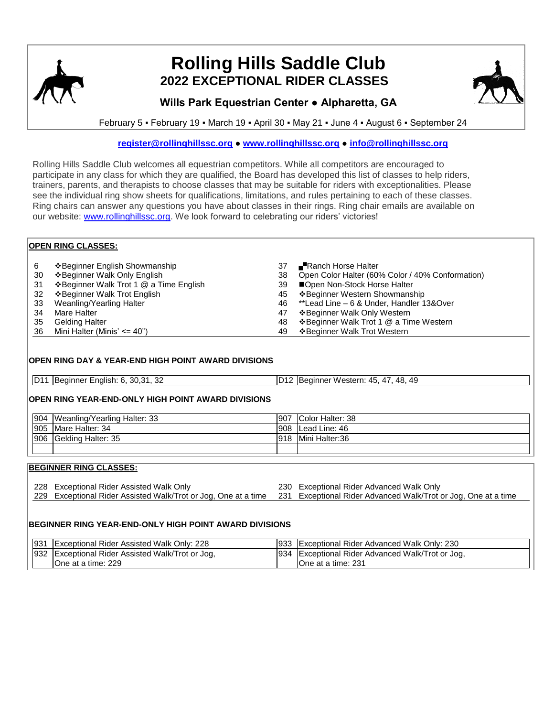

# **Rolling Hills Saddle Club 2022 EXCEPTIONAL RIDER CLASSES**



## **Wills Park Equestrian Center ● Alpharetta, GA**

February 5 ▪ February 19 ▪ March 19 ▪ April 30 ▪ May 21 ▪ June 4 ▪ August 6 ▪ September 24

## **[register@rollinghillssc.org](mailto:register@rollinghillssc.org) ● [www.rollinghillssc.org](http://www.rollinghillssc.org/) ● [info@rollinghillssc.org](mailto:info@rollinghillssc.org)**

Rolling Hills Saddle Club welcomes all equestrian competitors. While all competitors are encouraged to participate in any class for which they are qualified, the Board has developed this list of classes to help riders, trainers, parents, and therapists to choose classes that may be suitable for riders with exceptionalities. Please see the individual ring show sheets for qualifications, limitations, and rules pertaining to each of these classes. Ring chairs can answer any questions you have about classes in their rings. Ring chair emails are available on our website: [www.rollinghillssc.org.](http://www.rollinghillssc.org/) We look forward to celebrating our riders' victories!

|    | <b>OPEN RING CLASSES:</b>               |    |                                                  |  |  |
|----|-----------------------------------------|----|--------------------------------------------------|--|--|
| 6  | ❖ Beginner English Showmanship          | 37 | Ranch Horse Halter                               |  |  |
| 30 | ❖ Beginner Walk Only English            | 38 | Open Color Halter (60% Color / 40% Conformation) |  |  |
| 31 | ❖ Beginner Walk Trot 1 @ a Time English | 39 | ■Open Non-Stock Horse Halter                     |  |  |
| 32 | ❖ Beginner Walk Trot English            | 45 | ❖ Beginner Western Showmanship                   |  |  |
| 33 | Weanling/Yearling Halter                | 46 | **Lead Line – 6 & Under, Handler 13&Over         |  |  |
| 34 | Mare Halter                             | 47 | ❖ Beginner Walk Only Western                     |  |  |
| 35 | <b>Gelding Halter</b>                   | 48 | ❖ Beginner Walk Trot 1 @ a Time Western          |  |  |
| 36 | Mini Halter (Minis' $\leq$ 40")         | 49 | ❖ Beginner Walk Trot Western                     |  |  |

## **OPEN RING DAY & YEAR-END HIGH POINT AWARD DIVISIONS**

| D11 Beginner English: 6, 30,31, 32 | D12 Beginner Western: 45, 47, 48, 49 |
|------------------------------------|--------------------------------------|

## **OPEN RING YEAR-END-ONLY HIGH POINT AWARD DIVISIONS**

| 904 Weanling/Yearling Halter: 33 | 907 | Color Halter: 38 |
|----------------------------------|-----|------------------|
| 905 Mare Halter: 34              | 908 | Lead Line: 46    |
| 1906 Gelding Halter: 35          | 918 | Mini Halter:36   |
|                                  |     |                  |

## **BEGINNER RING CLASSES:**

228 Exceptional Rider Assisted Walk Only 230 Exceptional Rider Advanced Walk Only 229 Exceptional Rider Assisted Walk/Trot or Jog, One at a time 231 Exceptional Rider Advanced Walk/Trot or Jog, One at a time

#### **BEGINNER RING YEAR-END-ONLY HIGH POINT AWARD DIVISIONS**

| 931 Exceptional Rider Assisted Walk Only: 228    | 933 Exceptional Rider Advanced Walk Only: 230    |
|--------------------------------------------------|--------------------------------------------------|
| 932 Exceptional Rider Assisted Walk/Trot or Jog, | 934 Exceptional Rider Advanced Walk/Trot or Jog, |
| One at a time: 229                               | IOne at a time: 231                              |